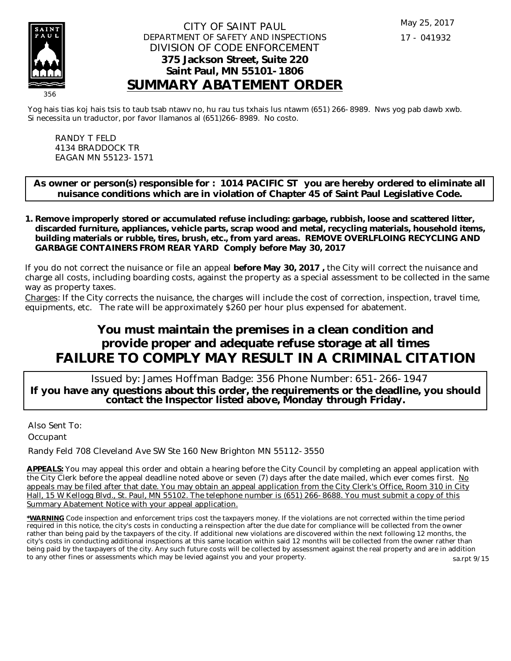

### CITY OF SAINT PAUL DEPARTMENT OF SAFETY AND INSPECTIONS DIVISION OF CODE ENFORCEMENT **375 Jackson Street, Suite 220 Saint Paul, MN 55101-1806 SUMMARY ABATEMENT ORDER**

Yog hais tias koj hais tsis to taub tsab ntawv no, hu rau tus txhais lus ntawm (651) 266-8989. Nws yog pab dawb xwb. Si necessita un traductor, por favor llamanos al (651)266-8989. No costo.

RANDY T FELD 4134 BRADDOCK TR EAGAN MN 55123-1571

**As owner or person(s) responsible for : 1014 PACIFIC ST you are hereby ordered to eliminate all nuisance conditions which are in violation of Chapter 45 of Saint Paul Legislative Code.**

**Remove improperly stored or accumulated refuse including: garbage, rubbish, loose and scattered litter, 1. discarded furniture, appliances, vehicle parts, scrap wood and metal, recycling materials, household items, building materials or rubble, tires, brush, etc., from yard areas. REMOVE OVERLFLOING RECYCLING AND GARBAGE CONTAINERS FROM REAR YARD Comply before May 30, 2017**

If you do not correct the nuisance or file an appeal **before May 30, 2017 ,** the City will correct the nuisance and charge all costs, including boarding costs, against the property as a special assessment to be collected in the same way as property taxes.

Charges: If the City corrects the nuisance, the charges will include the cost of correction, inspection, travel time, equipments, etc. The rate will be approximately \$260 per hour plus expensed for abatement.

# **You must maintain the premises in a clean condition and provide proper and adequate refuse storage at all times FAILURE TO COMPLY MAY RESULT IN A CRIMINAL CITATION**

 Issued by: James Hoffman Badge: 356 Phone Number: 651-266-1947 **If you have any questions about this order, the requirements or the deadline, you should contact the Inspector listed above, Monday through Friday.**

Also Sent To: **Occupant** 

Randy Feld 708 Cleveland Ave SW Ste 160 New Brighton MN 55112-3550

**APPEALS:** You may appeal this order and obtain a hearing before the City Council by completing an appeal application with the City Clerk before the appeal deadline noted above or seven (7) days after the date mailed, which ever comes first. No appeals may be filed after that date. You may obtain an appeal application from the City Clerk's Office, Room 310 in City Hall, 15 W Kellogg Blvd., St. Paul, MN 55102. The telephone number is (651) 266-8688. You must submit a copy of this Summary Abatement Notice with your appeal application.

**\*WARNING** Code inspection and enforcement trips cost the taxpayers money. If the violations are not corrected within the time period required in this notice, the city's costs in conducting a reinspection after the due date for compliance will be collected from the owner rather than being paid by the taxpayers of the city. If additional new violations are discovered within the next following 12 months, the city's costs in conducting additional inspections at this same location within said 12 months will be collected from the owner rather than being paid by the taxpayers of the city. Any such future costs will be collected by assessment against the real property and are in addition to any other fines or assessments which may be levied against you and your property. sa.rpt 9/15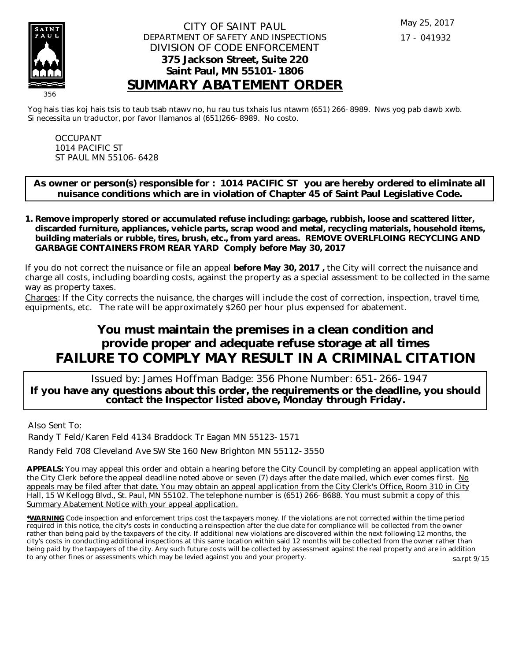

### CITY OF SAINT PAUL DEPARTMENT OF SAFETY AND INSPECTIONS DIVISION OF CODE ENFORCEMENT **375 Jackson Street, Suite 220 Saint Paul, MN 55101-1806 SUMMARY ABATEMENT ORDER**

Yog hais tias koj hais tsis to taub tsab ntawv no, hu rau tus txhais lus ntawm (651) 266-8989. Nws yog pab dawb xwb. Si necessita un traductor, por favor llamanos al (651)266-8989. No costo.

OCCUPANT 1014 PACIFIC ST ST PAUL MN 55106-6428

**As owner or person(s) responsible for : 1014 PACIFIC ST you are hereby ordered to eliminate all nuisance conditions which are in violation of Chapter 45 of Saint Paul Legislative Code.**

**Remove improperly stored or accumulated refuse including: garbage, rubbish, loose and scattered litter, 1. discarded furniture, appliances, vehicle parts, scrap wood and metal, recycling materials, household items, building materials or rubble, tires, brush, etc., from yard areas. REMOVE OVERLFLOING RECYCLING AND GARBAGE CONTAINERS FROM REAR YARD Comply before May 30, 2017**

If you do not correct the nuisance or file an appeal **before May 30, 2017 ,** the City will correct the nuisance and charge all costs, including boarding costs, against the property as a special assessment to be collected in the same way as property taxes.

Charges: If the City corrects the nuisance, the charges will include the cost of correction, inspection, travel time, equipments, etc. The rate will be approximately \$260 per hour plus expensed for abatement.

# **You must maintain the premises in a clean condition and provide proper and adequate refuse storage at all times FAILURE TO COMPLY MAY RESULT IN A CRIMINAL CITATION**

 Issued by: James Hoffman Badge: 356 Phone Number: 651-266-1947 **If you have any questions about this order, the requirements or the deadline, you should contact the Inspector listed above, Monday through Friday.**

Also Sent To:

Randy T Feld/Karen Feld 4134 Braddock Tr Eagan MN 55123-1571

Randy Feld 708 Cleveland Ave SW Ste 160 New Brighton MN 55112-3550

**APPEALS:** You may appeal this order and obtain a hearing before the City Council by completing an appeal application with the City Clerk before the appeal deadline noted above or seven (7) days after the date mailed, which ever comes first. No appeals may be filed after that date. You may obtain an appeal application from the City Clerk's Office, Room 310 in City Hall, 15 W Kellogg Blvd., St. Paul, MN 55102. The telephone number is (651) 266-8688. You must submit a copy of this Summary Abatement Notice with your appeal application.

**\*WARNING** Code inspection and enforcement trips cost the taxpayers money. If the violations are not corrected within the time period required in this notice, the city's costs in conducting a reinspection after the due date for compliance will be collected from the owner rather than being paid by the taxpayers of the city. If additional new violations are discovered within the next following 12 months, the city's costs in conducting additional inspections at this same location within said 12 months will be collected from the owner rather than being paid by the taxpayers of the city. Any such future costs will be collected by assessment against the real property and are in addition to any other fines or assessments which may be levied against you and your property. sa.rpt 9/15